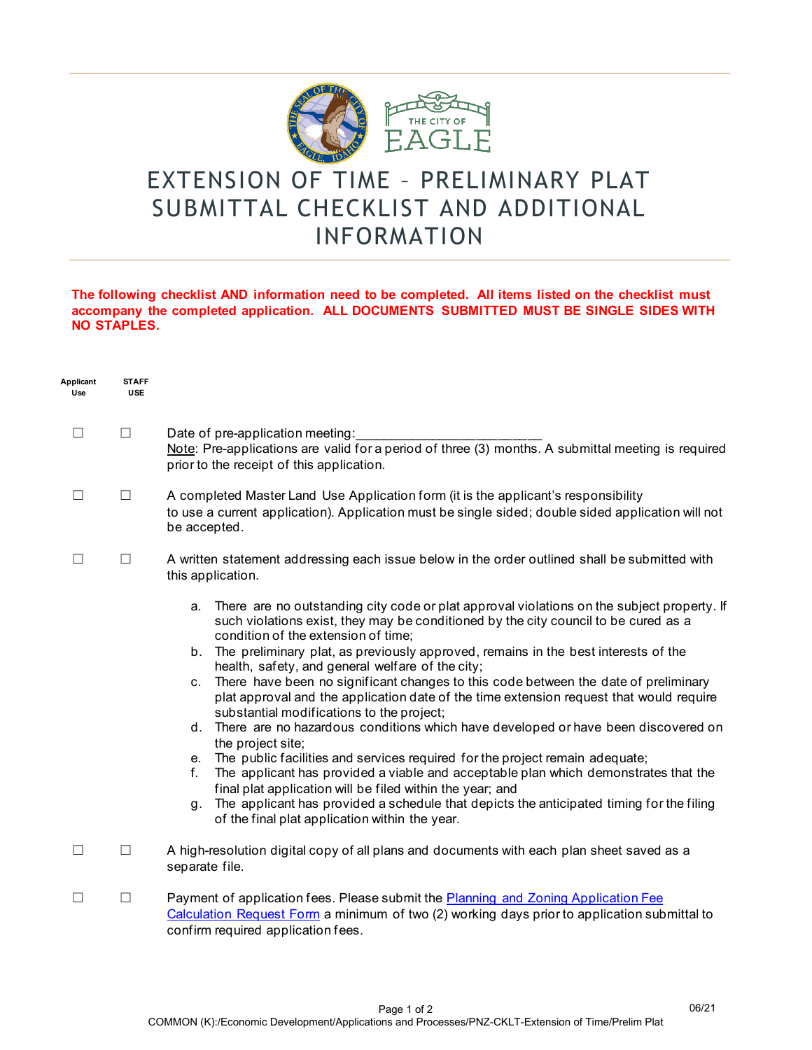

## EXTENSION OF TIME – PRELIMINARY PLAT SUBMITTAL CHECKLIST AND ADDITIONAL INFORMATION

## **The following checklist AND information need to be completed. All items listed on the checklist must accompany the completed application. ALL DOCUMENTS SUBMITTED MUST BE SINGLE SIDES WITH NO STAPLES.**

| Applicant<br>Use | <b>STAFF</b><br><b>USE</b> |                                                                                                                                                                                                                                                                                                                                                                                                                                                                                                                                                                                                                                                                                                                                                                                                                                                                                                                                                                                                                                                                                                                             |
|------------------|----------------------------|-----------------------------------------------------------------------------------------------------------------------------------------------------------------------------------------------------------------------------------------------------------------------------------------------------------------------------------------------------------------------------------------------------------------------------------------------------------------------------------------------------------------------------------------------------------------------------------------------------------------------------------------------------------------------------------------------------------------------------------------------------------------------------------------------------------------------------------------------------------------------------------------------------------------------------------------------------------------------------------------------------------------------------------------------------------------------------------------------------------------------------|
| <b>I</b>         | $\Box$                     | Date of pre-application meeting:<br>Note: Pre-applications are valid for a period of three (3) months. A submittal meeting is required<br>prior to the receipt of this application.                                                                                                                                                                                                                                                                                                                                                                                                                                                                                                                                                                                                                                                                                                                                                                                                                                                                                                                                         |
| <b>I</b>         | $\Box$                     | A completed Master Land Use Application form (it is the applicant's responsibility<br>to use a current application). Application must be single sided; double sided application will not<br>be accepted.                                                                                                                                                                                                                                                                                                                                                                                                                                                                                                                                                                                                                                                                                                                                                                                                                                                                                                                    |
| $\Box$           | $\Box$                     | A written statement addressing each issue below in the order outlined shall be submitted with<br>this application.                                                                                                                                                                                                                                                                                                                                                                                                                                                                                                                                                                                                                                                                                                                                                                                                                                                                                                                                                                                                          |
|                  |                            | There are no outstanding city code or plat approval violations on the subject property. If<br>a.<br>such violations exist, they may be conditioned by the city council to be cured as a<br>condition of the extension of time;<br>b. The preliminary plat, as previously approved, remains in the best interests of the<br>health, safety, and general welfare of the city;<br>c. There have been no significant changes to this code between the date of preliminary<br>plat approval and the application date of the time extension request that would require<br>substantial modifications to the project;<br>d. There are no hazardous conditions which have developed or have been discovered on<br>the project site;<br>e. The public facilities and services required for the project remain adequate;<br>The applicant has provided a viable and acceptable plan which demonstrates that the<br>f.<br>final plat application will be filed within the year; and<br>The applicant has provided a schedule that depicts the anticipated timing for the filing<br>g.<br>of the final plat application within the year. |
| $\Box$           | $\Box$                     | A high-resolution digital copy of all plans and documents with each plan sheet saved as a<br>separate file.                                                                                                                                                                                                                                                                                                                                                                                                                                                                                                                                                                                                                                                                                                                                                                                                                                                                                                                                                                                                                 |
| ш                | $\Box$                     | Payment of application fees. Please submit the Planning and Zoning Application Fee<br>Calculation Request Form a minimum of two (2) working days prior to application submittal to<br>confirm required application fees.                                                                                                                                                                                                                                                                                                                                                                                                                                                                                                                                                                                                                                                                                                                                                                                                                                                                                                    |

06/21